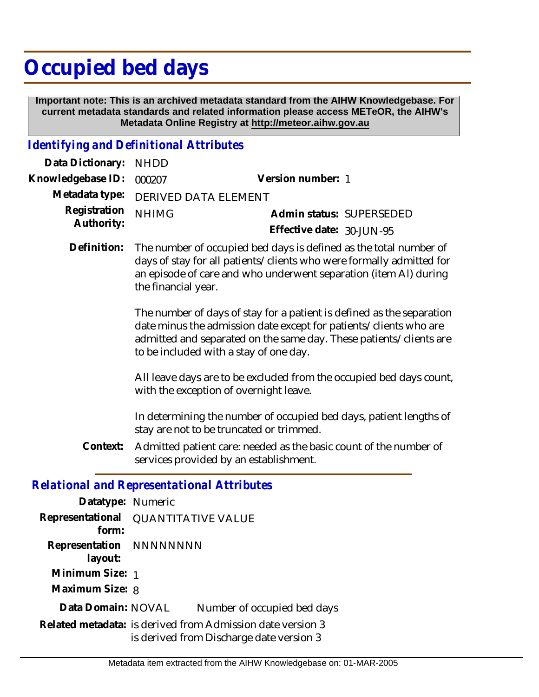## **Occupied bed days**

 **Important note: This is an archived metadata standard from the AIHW Knowledgebase. For current metadata standards and related information please access METeOR, the AIHW's Metadata Online Registry at http://meteor.aihw.gov.au**

## *Identifying and Definitional Attributes*

| Data Dictionary: NHDD    |                                     |                           |                          |
|--------------------------|-------------------------------------|---------------------------|--------------------------|
| Knowledgebase ID: 000207 |                                     | Version number: 1         |                          |
|                          | Metadata type: DERIVED DATA ELEMENT |                           |                          |
| Registration NHIMG       |                                     |                           | Admin status: SUPERSEDED |
| Authority:               |                                     | Effective date: 30-JUN-95 |                          |

Definition: The number of occupied bed days is defined as the total number of days of stay for all patients/clients who were formally admitted for an episode of care and who underwent separation (item Al) during the financial year.

> The number of days of stay for a patient is defined as the separation date minus the admission date except for patients/clients who are admitted and separated on the same day. These patients/clients are to be included with a stay of one day.

> All leave days are to be excluded from the occupied bed days count, with the exception of overnight leave.

> In determining the number of occupied bed days, patient lengths of stay are not to be truncated or trimmed.

Admitted patient care: needed as the basic count of the number of services provided by an establishment. **Context:**

## *Relational and Representational Attributes*

| Datatype: Numeric                     |                                                                                                        |                             |  |
|---------------------------------------|--------------------------------------------------------------------------------------------------------|-----------------------------|--|
| Representational<br>form <sup>1</sup> | <b>QUANTITATIVE VALUE</b>                                                                              |                             |  |
| Representation NNNNNNNN<br>layout:    |                                                                                                        |                             |  |
| Minimum Size: 1                       |                                                                                                        |                             |  |
| Maximum Size: 8                       |                                                                                                        |                             |  |
| Data Domain: NOVAL                    |                                                                                                        | Number of occupied bed days |  |
|                                       | Related metadata: is derived from Admission date version 3<br>is derived from Discharge date version 3 |                             |  |